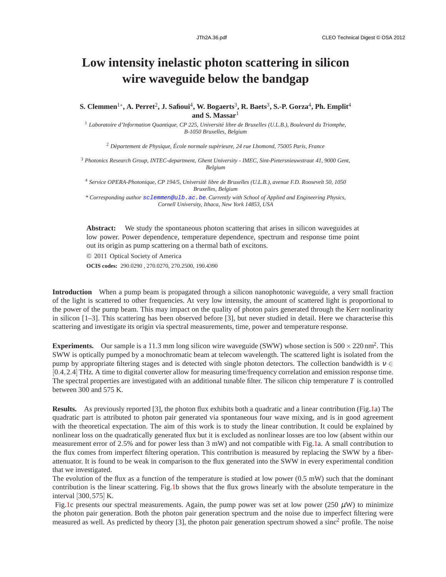## **Low intensity inelastic photon scattering in silicon wire waveguide below the bandgap**

**S. Clemmen**1<sup>∗</sup> **, A. Perret**<sup>2</sup> **, J. Safioui**<sup>4</sup> **, W. Bogaerts**<sup>3</sup> **, R. Baets**<sup>3</sup> **, S.-P. Gorza**<sup>4</sup> **, Ph. Emplit**<sup>4</sup> **and S. Massar**<sup>1</sup>

<sup>1</sup> Laboratoire d'Information Quantique, CP 225, Université libre de Bruxelles (U.L.B.), Boulevard du Triomphe, *B-1050 Bruxelles, Belgium*

<sup>2</sup> Département de Physique, École normale supérieure, 24 rue Lhomond, 75005 Paris, France

<sup>3</sup> *Photonics Research Group, INTEC-department, Ghent University - IMEC, Sint-Pietersnieuwstraat 41, 9000 Gent, Belgium*

<sup>4</sup> Service OPERA-Photonique, CP 194/5, Université libre de Bruxelles (U.L.B.), avenue F.D. Roosevelt 50, 1050 *Bruxelles, Belgium*

*\* Corresponding author sclemmen@ulb.ac.be. Currently with School of Applied and Engineering Physics, Cornell University, Ithaca, New York 14853, USA*

**Abstract:** We study the spontaneous photon scattering that arises in silicon waveguides at low power. Power dependence, temperature dependence, spectrum and response time point out its origin as pump scattering on a thermal bath of excitons.

© 2011 Optical Society of America

**OCIS codes:** 290.0290 , 270.0270, 270.2500, 190.4390

**Introduction** When a pump beam is propagated through a silicon nanophotonic waveguide, a very small fraction of the light is scattered to other frequencies. At very low intensity, the amount of scattered light is proportional to the power of the pump beam. This may impact on the quality of photon pairs generated through the Kerr nonlinarity in silicon [1–3]. This scattering has been observed before [3], but never studied in detail. Here we characterise this scattering and investigate its origin via spectral measurements, time, power and temperature response.

**Experiments.** Our sample is a 11.3 mm long silicon wire waveguide (SWW) whose section is  $500 \times 220$  nm<sup>2</sup>. This SWW is optically pumped by a monochromatic beam at telecom wavelength. The scattered light is isolated from the pump by appropriate filtering stages and is detected with single photon detectors. The collection bandwidth is  $v \in$ [0.4,2.4]THz. A time to digital converter allow for measuring time/frequency correlation and emission response time. The spectral properties are investigated with an additional tunable filter. The silicon chip temperature *T* is controlled between 300 and 575 K.

**Results.** As previously reported [3], the photon flux exhibits both a quadratic and a linear contribution (Fig.1a) The quadratic part is attributed to photon pair generated via spontaneous four wave mixing, and is in good agreement with the theoretical expectation. The aim of this work is to study the linear contribution. It could be explained by nonlinear loss on the quadratically generated flux but it is excluded as nonlinear losses are too low (absent within our measurement error of 2.5% and for power less than 3 mW) and not compatible with Fig.1a. A small contribution to the flux comes from imperfect filtering operation. This contribution is measured by replacing the SWW by a fiberattenuator. It is found to be weak in comparison to the flux generated into the SWW in every experimental condition that we investigated.

The evolution of the flux as a function of the temperature is studied at low power (0.5 mW) such that the dominant contribution is the linear scattering. Fig.1b shows that the flux grows linearly with the absolute temperature in the interval [300,575] K.

Fig.1c presents our spectral measurements. Again, the pump power was set at low power (250  $\mu$ W) to minimize the photon pair generation. Both the photon pair generation spectrum and the noise due to imperfect filtering were measured as well. As predicted by theory [3], the photon pair generation spectrum showed a sinc<sup>2</sup> profile. The noise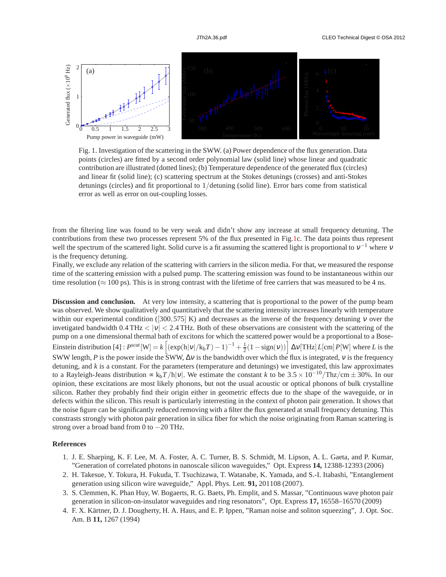

Fig. 1. Investigation of the scattering in the SWW. (a) Power dependence of the flux generation. Data points (circles) are fitted by a second order polynomial law (solid line) whose linear and quadratic contribution are illustrated (dotted lines); (b) Temperature dependence of the generated flux (circles) and linear fit (solid line); (c) scattering spectrum at the Stokes detunings (crosses) and anti-Stokes detunings (circles) and fit proportional to 1/detuning (solid line). Error bars come from statistical error as well as error on out-coupling losses.

from the filtering line was found to be very weak and didn't show any increase at small frequency detuning. The contributions from these two processes represent 5% of the flux presented in Fig.1c. The data points thus represent well the spectrum of the scattered light. Solid curve is a fit assuming the scattered light is proportional to  $v^{-1}$  where v is the frequency detuning.

Finally, we exclude any relation of the scattering with carriers in the silicon media. For that, we measured the response time of the scattering emission with a pulsed pump. The scattering emission was found to be instantaneous within our time resolution ( $\approx$  100 ps). This is in strong contrast with the lifetime of free carriers that was measured to be 4 ns.

**Discussion and conclusion.** At very low intensity, a scattering that is proportional to the power of the pump beam was observed. We show qualitatively and quantitatively that the scattering intensity increases linearly with temperature within our experimental condition ([300,575] K) and decreases as the inverse of the frequency detuning  $\nu$  over the invetigated bandwidth  $0.4 \text{ THz} < |v| < 2.4 \text{ THz}$ . Both of these observations are consistent with the scattering of the pump on a one dimensional thermal bath of excitons for which the scattered power would be a proportional to a Bose-Einstein distribution [4] :  $P^{scat}[W] = k \left[ (\exp(h|v|/k_bT) - 1)^{-1} + \frac{1}{2}(1 - \text{sign}(v)) \right] \Delta v [THz] L [cm] P[W]$  where *L* is the SWW length, *P* is the power inside the SWW,  $\Delta v$  is the bandwidth over which the flux is integrated, v is the frequency detuning, and *k* is a constant. For the parameters (temperature and detunings) we investigated, this law approximates to a Rayleigh-Jeans distribution  $\propto k_bT/h|v|$ . We estimate the constant *k* to be  $3.5 \times 10^{-10}/\text{Thz/cm} \pm 30$ %. In our opinion, these excitations are most likely phonons, but not the usual acoustic or optical phonons of bulk crystalline silicon. Rather they probably find their origin either in geometric effects due to the shape of the waveguide, or in defects within the silicon. This result is particularly interresting in the context of photon pair generation. It shows that the noise figure can be significantly reduced removing with a filter the flux generated at small frequency detuning. This constrasts strongly with photon pair generation in silica fiber for which the noise originating from Raman scattering is strong over a broad band from 0 to −20 THz.

## **References**

- 1. J. E. Sharping, K. F. Lee, M. A. Foster, A. C. Turner, B. S. Schmidt, M. Lipson, A. L. Gaeta, and P. Kumar, "Generation of correlated photons in nanoscale silicon waveguides," Opt. Express **14,** 12388-12393 (2006)
- 2. H. Takesue, Y. Tokura, H. Fukuda, T. Tsuchizawa, T. Watanabe, K. Yamada, and S.-I. Itabashi, "Entanglement generation using silicon wire waveguide," Appl. Phys. Lett. **91,** 201108 (2007).
- 3. S. Clemmen, K. Phan Huy, W. Bogaerts, R. G. Baets, Ph. Emplit, and S. Massar, "Continuous wave photon pair generation in silicon-on-insulator waveguides and ring resonators", Opt. Express **17,** 16558–16570 (2009)
- 4. F. X. Kärtner, D. J. Dougherty, H. A. Haus, and E. P. Ippen, "Raman noise and soliton squeezing", J. Opt. Soc. Am. B **11,** 1267 (1994)